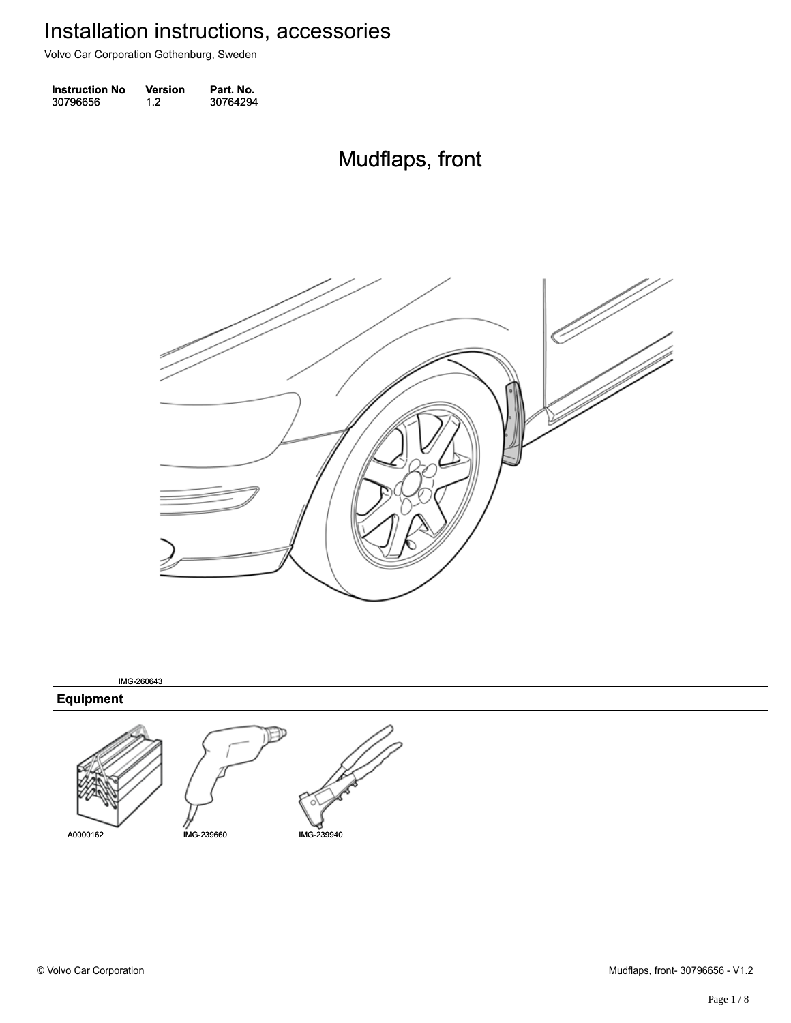Volvo Car Corporation Gothenburg, Sweden

| <b>Instruction No</b> | Version | Part. No. |
|-----------------------|---------|-----------|
| 30796656              | 1.2     | 30764294  |

#### Mudflaps, front Mudflaps, front



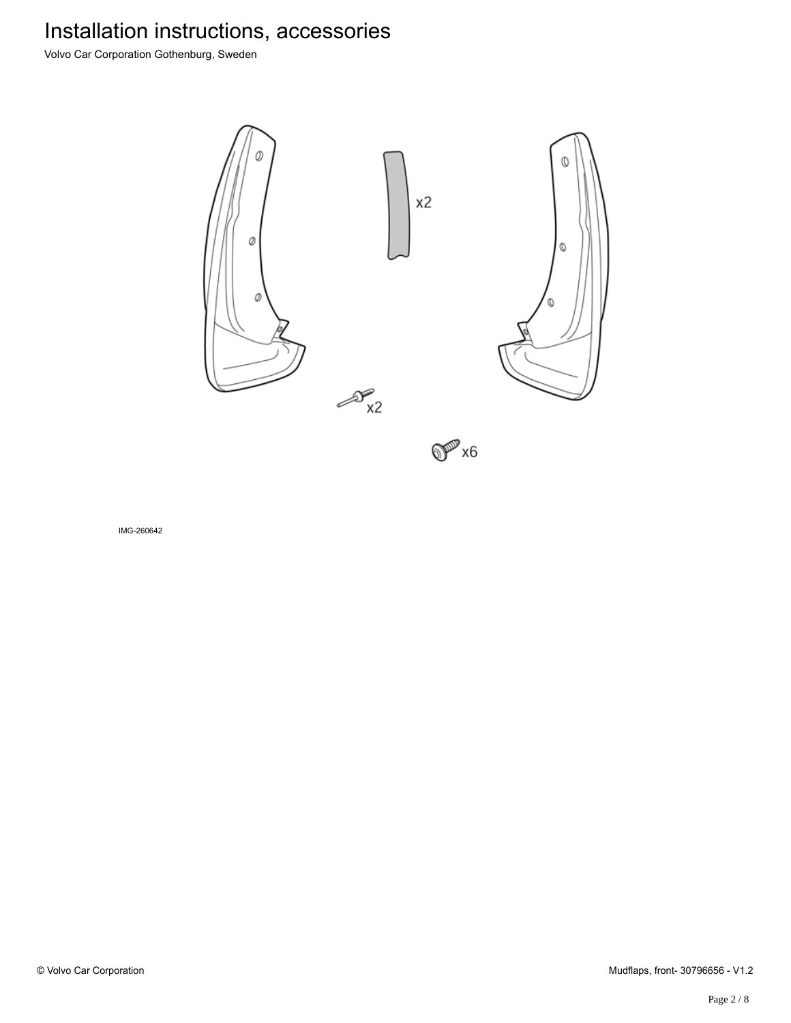Volvo Car Corporation Gothenburg, Sweden



 $\mathbb{O}^{\mathbb{P}^7\times 6}$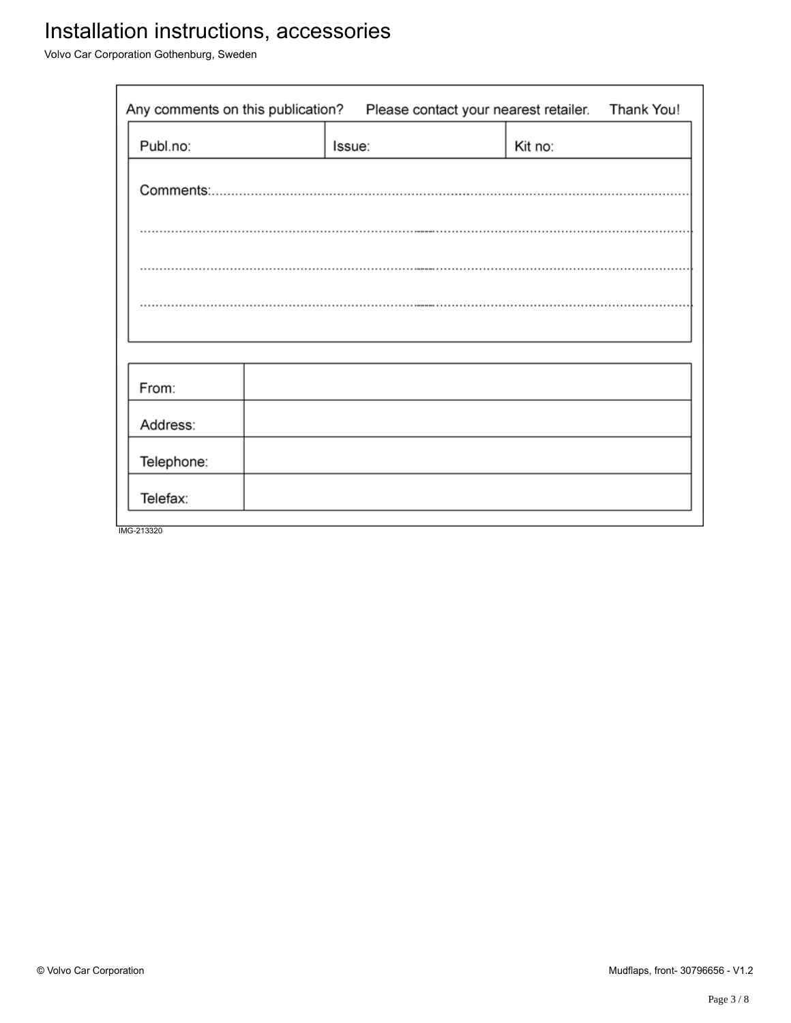Volvo Car Corporation Gothenburg, Sweden

| Any comments on this publication?<br>Please contact your nearest retailer. |  |        |         | Thank You! |
|----------------------------------------------------------------------------|--|--------|---------|------------|
| Publ.no:                                                                   |  | Issue: | Kit no: |            |
|                                                                            |  |        |         |            |
|                                                                            |  |        |         |            |
|                                                                            |  |        |         |            |
|                                                                            |  |        |         |            |
|                                                                            |  |        |         |            |
| From:                                                                      |  |        |         |            |
| Address:                                                                   |  |        |         |            |
| Telephone:                                                                 |  |        |         |            |
| Telefax:                                                                   |  |        |         |            |
| IMG-213320                                                                 |  |        |         |            |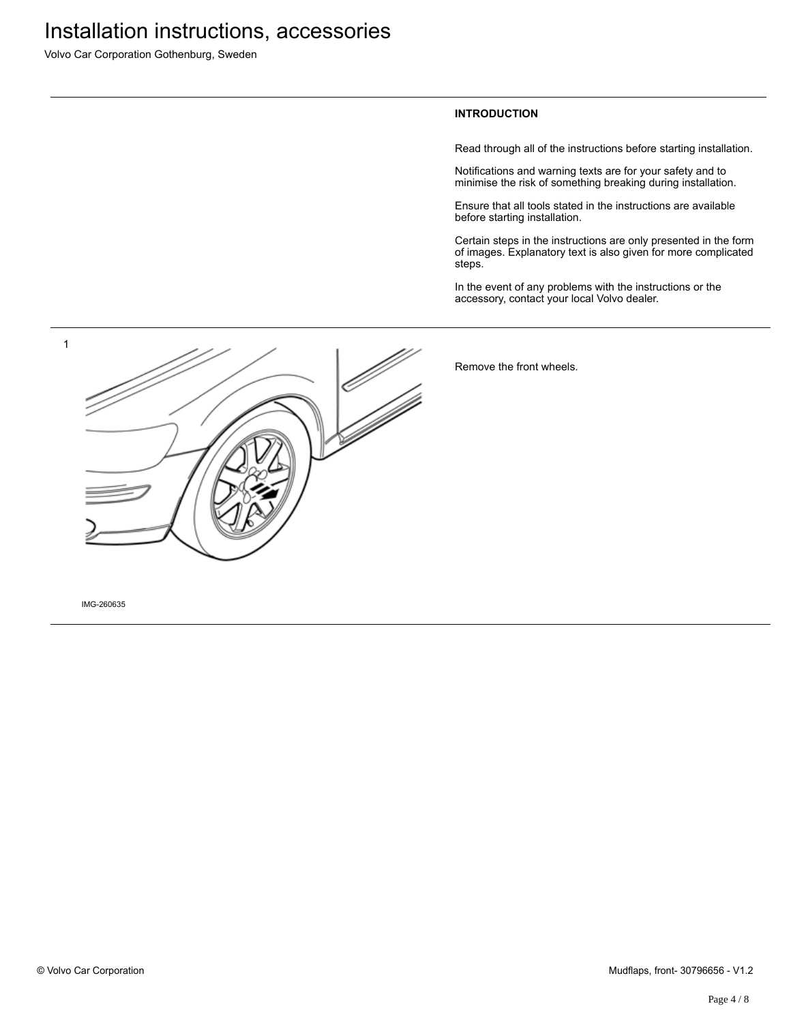Volvo Car Corporation Gothenburg, Sweden

#### **INTRODUCTION**

Read through all of the instructions before starting installation.

Notifications and warning texts are for your safety and to minimise the risk of something breaking during installation.

Ensure that all tools stated in the instructions are available before starting installation.

Certain steps in the instructions are only presented in the form of images. Explanatory text is also given for more complicated steps.

In the event of any problems with the instructions or the accessory, contact your local Volvo dealer.



Remove the front wheels.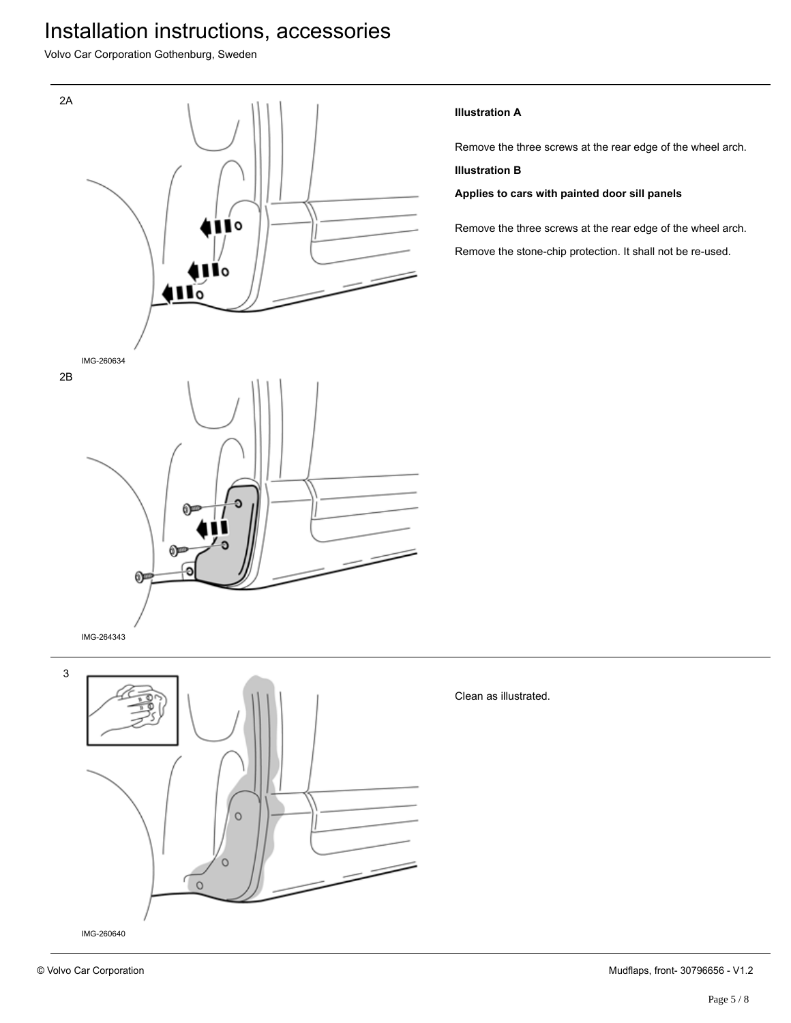Volvo Car Corporation Gothenburg, Sweden



#### **Illustration A**

Remove the three screws at the rear edge of the wheel arch.

#### **Illustration B**

**Applies to cars with painted door sill panels**

Remove the three screws at the rear edge of the wheel arch. Remove the stone-chip protection. It shall not be re-used.

Clean as illustrated.

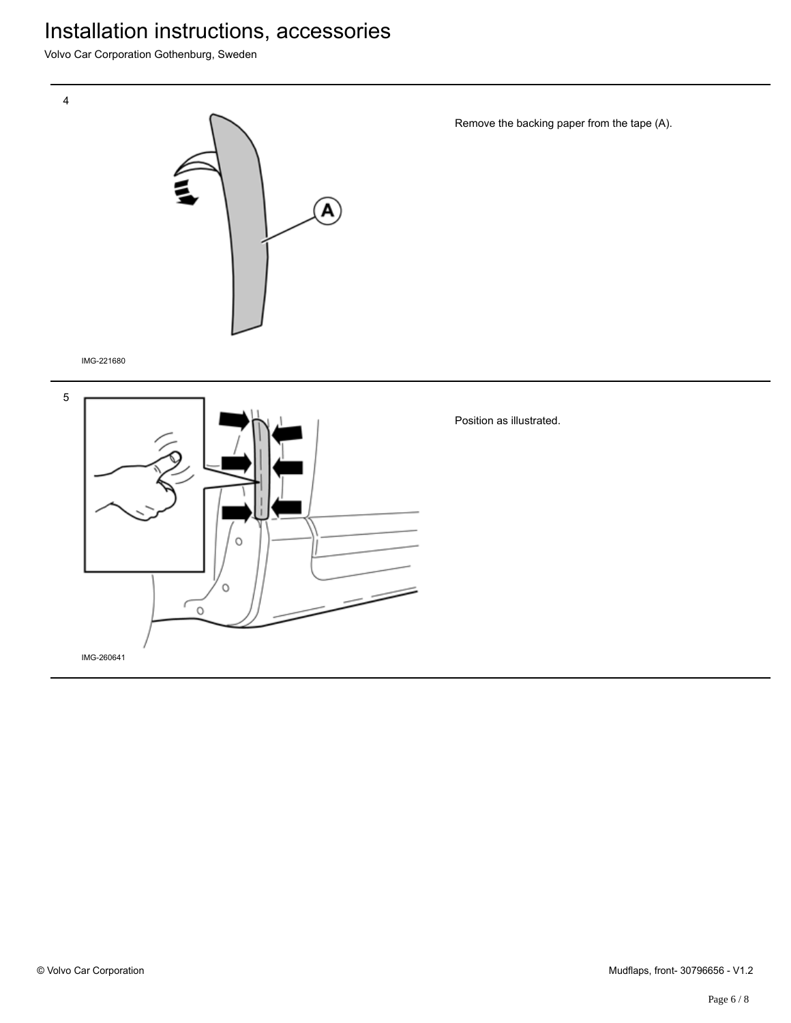Volvo Car Corporation Gothenburg, Sweden



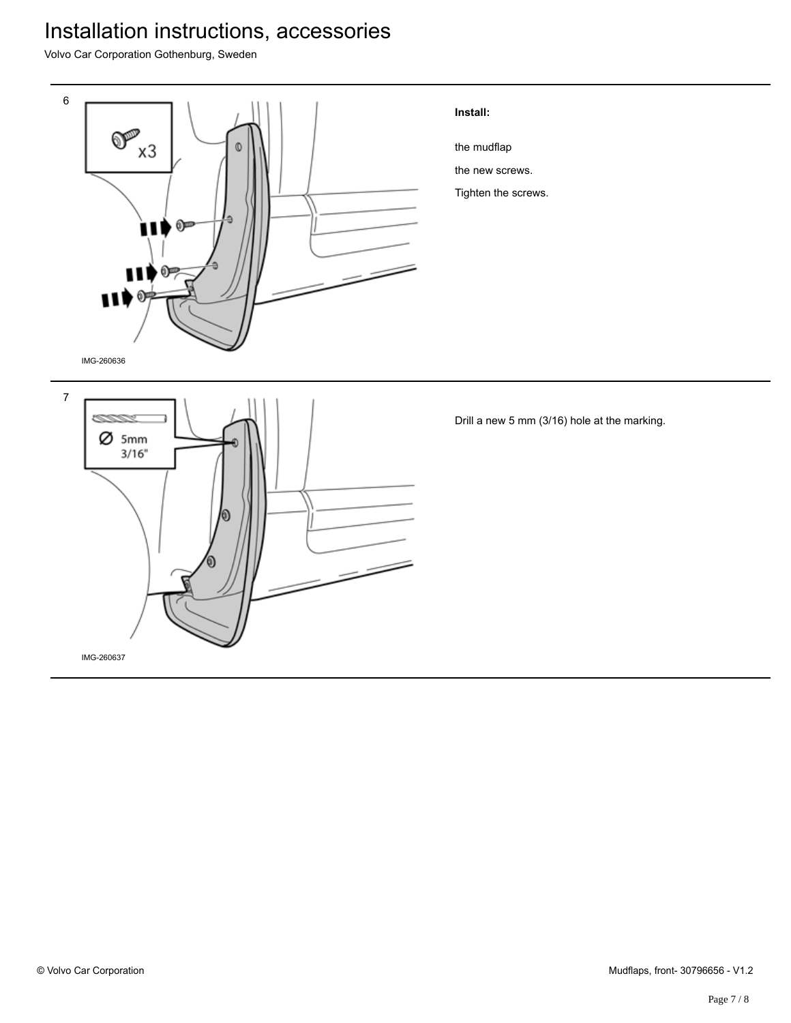Volvo Car Corporation Gothenburg, Sweden